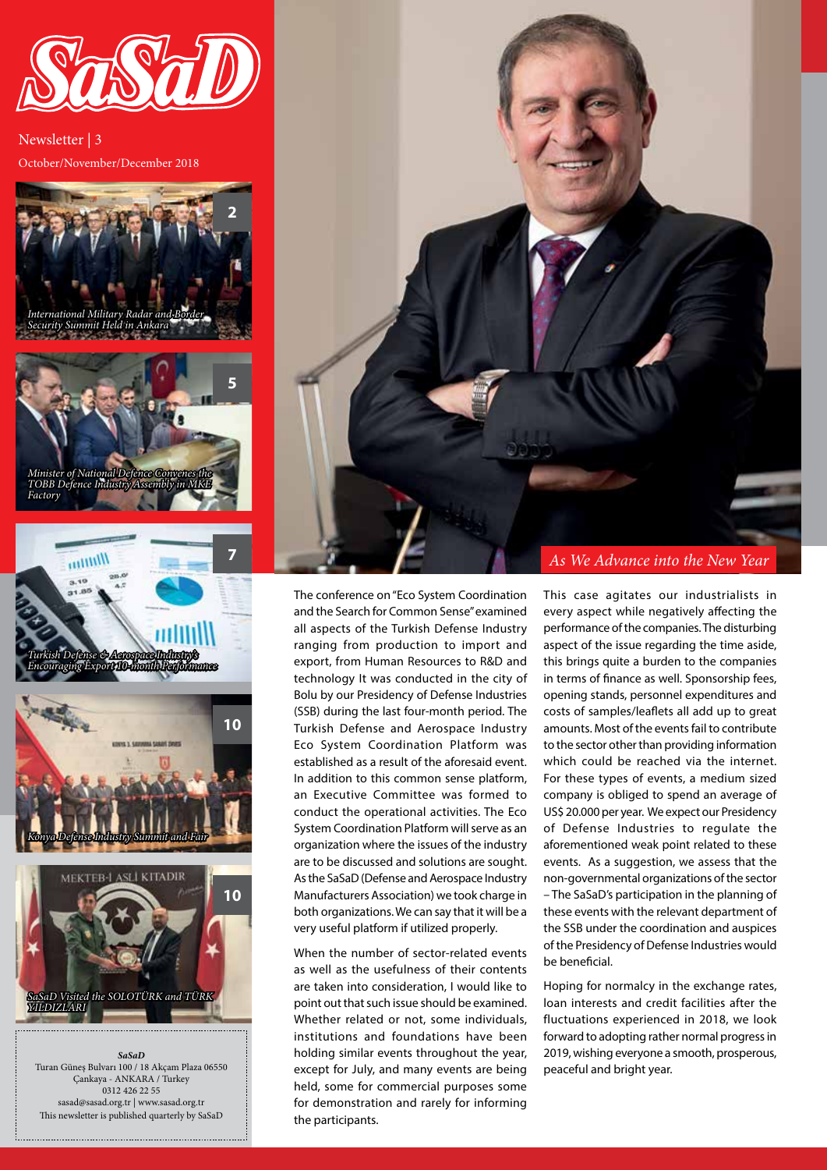

October/November/December 2018 Newsletter | 3



*SaSaD* Turan Güneş Bulvarı 100 / 18 Akçam Plaza 06550 Çankaya - ANKARA / Turkey 0312 426 22 55 sasad@sasad.org.tr | www.sasad.org.tr This newsletter is published quarterly by SaSaD



The conference on "Eco System Coordination and the Search for Common Sense" examined all aspects of the Turkish Defense Industry ranging from production to import and export, from Human Resources to R&D and technology It was conducted in the city of Bolu by our Presidency of Defense Industries (SSB) during the last four-month period. The Turkish Defense and Aerospace Industry Eco System Coordination Platform was established as a result of the aforesaid event. In addition to this common sense platform, an Executive Committee was formed to conduct the operational activities. The Eco System Coordination Platform will serve as an organization where the issues of the industry are to be discussed and solutions are sought. As the SaSaD (Defense and Aerospace Industry Manufacturers Association) we took charge in both organizations. We can say that it will be a very useful platform if utilized properly.

When the number of sector-related events as well as the usefulness of their contents are taken into consideration, I would like to point out that such issue should be examined. Whether related or not, some individuals, institutions and foundations have been holding similar events throughout the year, except for July, and many events are being held, some for commercial purposes some for demonstration and rarely for informing the participants.

This case agitates our industrialists in every aspect while negatively affecting the performance of the companies. The disturbing aspect of the issue regarding the time aside, this brings quite a burden to the companies in terms of finance as well. Sponsorship fees, opening stands, personnel expenditures and costs of samples/leaflets all add up to great amounts. Most of the events fail to contribute to the sector other than providing information which could be reached via the internet. For these types of events, a medium sized company is obliged to spend an average of US\$ 20.000 per year. We expect our Presidency of Defense Industries to regulate the aforementioned weak point related to these events. As a suggestion, we assess that the non-governmental organizations of the sector – The SaSaD's participation in the planning of these events with the relevant department of the SSB under the coordination and auspices of the Presidency of Defense Industries would be beneficial.

Hoping for normalcy in the exchange rates, loan interests and credit facilities after the fluctuations experienced in 2018, we look forward to adopting rather normal progress in 2019, wishing everyone a smooth, prosperous, peaceful and bright year.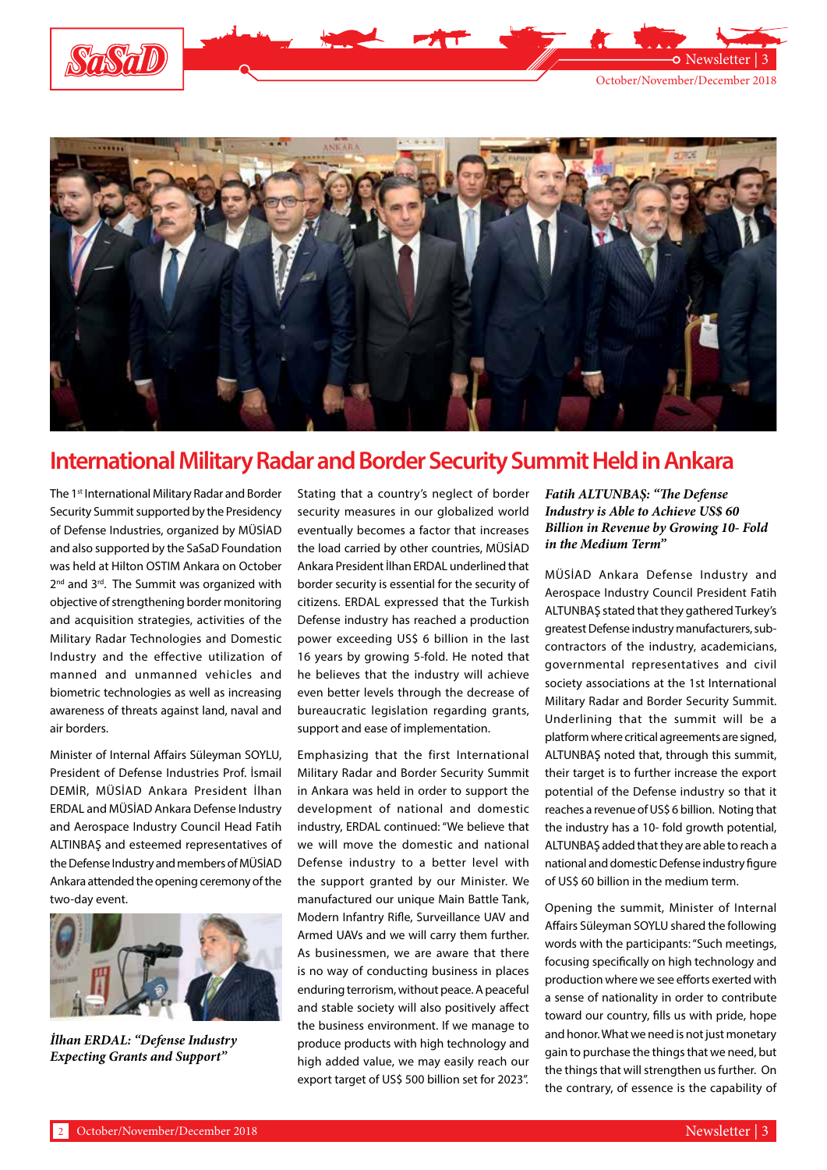

Newsletter |



## **International Military Radar and Border Security Summit Held in Ankara**

The 1<sup>st</sup> International Military Radar and Border Security Summit supported by the Presidency of Defense Industries, organized by MÜSİAD and also supported by the SaSaD Foundation was held at Hilton OSTIM Ankara on October 2<sup>nd</sup> and 3<sup>rd</sup>. The Summit was organized with objective of strengthening border monitoring and acquisition strategies, activities of the Military Radar Technologies and Domestic Industry and the effective utilization of manned and unmanned vehicles and biometric technologies as well as increasing awareness of threats against land, naval and air borders.

Minister of Internal Affairs Süleyman SOYLU, President of Defense Industries Prof. İsmail DEMİR, MÜSİAD Ankara President İlhan ERDAL and MÜSİAD Ankara Defense Industry and Aerospace Industry Council Head Fatih ALTINBAŞ and esteemed representatives of the Defense Industry and members of MÜSİAD Ankara attended the opening ceremony of the two-day event.



*İlhan ERDAL: "Defense Industry Expecting Grants and Support"*

Stating that a country's neglect of border security measures in our globalized world eventually becomes a factor that increases the load carried by other countries, MÜSİAD Ankara President İlhan ERDAL underlined that border security is essential for the security of citizens. ERDAL expressed that the Turkish Defense industry has reached a production power exceeding US\$ 6 billion in the last 16 years by growing 5-fold. He noted that he believes that the industry will achieve even better levels through the decrease of bureaucratic legislation regarding grants, support and ease of implementation.

Emphasizing that the first International Military Radar and Border Security Summit in Ankara was held in order to support the development of national and domestic industry, ERDAL continued: "We believe that we will move the domestic and national Defense industry to a better level with the support granted by our Minister. We manufactured our unique Main Battle Tank, Modern Infantry Rifle, Surveillance UAV and Armed UAVs and we will carry them further. As businessmen, we are aware that there is no way of conducting business in places enduring terrorism, without peace. A peaceful and stable society will also positively affect the business environment. If we manage to produce products with high technology and high added value, we may easily reach our export target of US\$ 500 billion set for 2023".

### *Fatih ALTUNBAŞ: "The Defense Industry is Able to Achieve US\$ 60 Billion in Revenue by Growing 10- Fold in the Medium Term"*

MÜSİAD Ankara Defense Industry and Aerospace Industry Council President Fatih ALTUNBAŞ stated that they gathered Turkey's greatest Defense industry manufacturers, subcontractors of the industry, academicians, governmental representatives and civil society associations at the 1st International Military Radar and Border Security Summit. Underlining that the summit will be a platform where critical agreements are signed, ALTUNBAŞ noted that, through this summit, their target is to further increase the export potential of the Defense industry so that it reaches a revenue of US\$ 6 billion. Noting that the industry has a 10- fold growth potential, ALTUNBAŞ added that they are able to reach a national and domestic Defense industry figure of US\$ 60 billion in the medium term.

Opening the summit, Minister of Internal Affairs Süleyman SOYLU shared the following words with the participants: "Such meetings, focusing specifically on high technology and production where we see efforts exerted with a sense of nationality in order to contribute toward our country, fills us with pride, hope and honor. What we need is not just monetary gain to purchase the things that we need, but the things that will strengthen us further. On the contrary, of essence is the capability of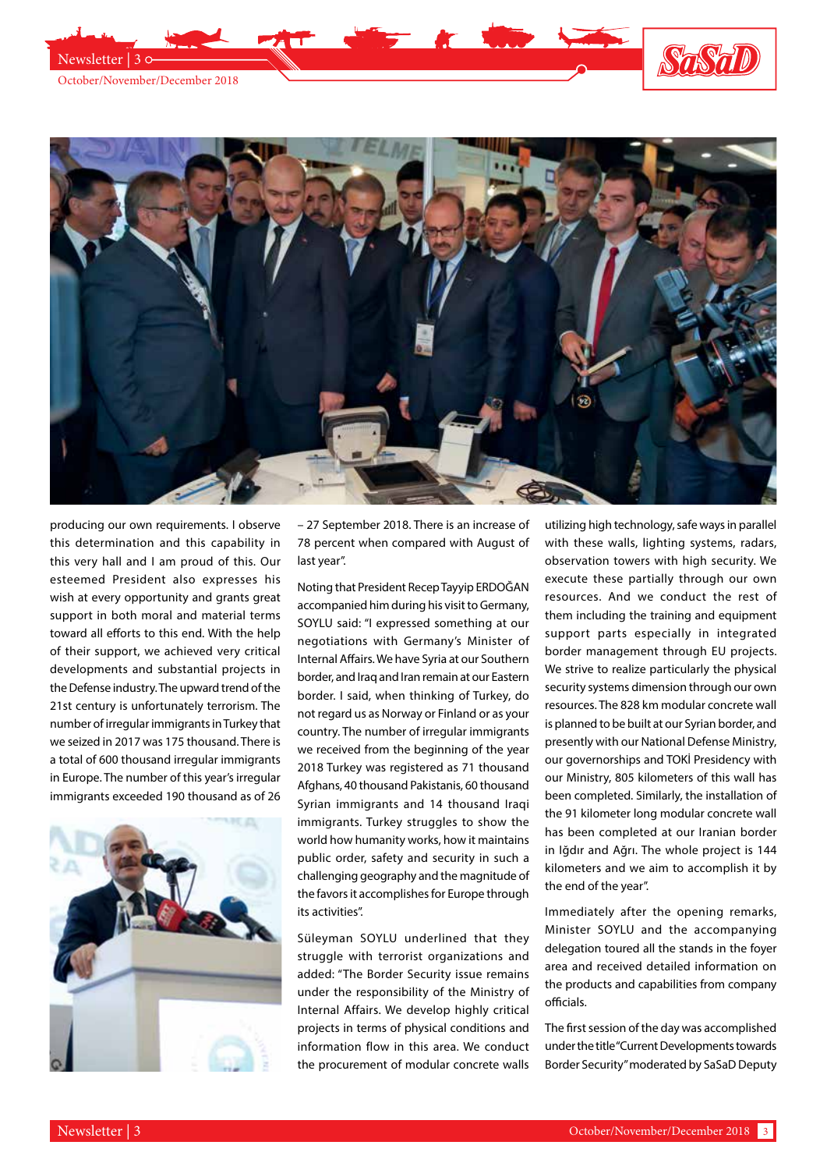



producing our own requirements. I observe this determination and this capability in this very hall and I am proud of this. Our esteemed President also expresses his wish at every opportunity and grants great support in both moral and material terms toward all efforts to this end. With the help of their support, we achieved very critical developments and substantial projects in the Defense industry. The upward trend of the 21st century is unfortunately terrorism. The number of irregular immigrants in Turkey that we seized in 2017 was 175 thousand. There is a total of 600 thousand irregular immigrants in Europe. The number of this year's irregular immigrants exceeded 190 thousand as of 26



– 27 September 2018. There is an increase of 78 percent when compared with August of last year".

Noting that President Recep Tayyip ERDOĞAN accompanied him during his visit to Germany, SOYLU said: "I expressed something at our negotiations with Germany's Minister of Internal Affairs. We have Syria at our Southern border, and Iraq and Iran remain at our Eastern border. I said, when thinking of Turkey, do not regard us as Norway or Finland or as your country. The number of irregular immigrants we received from the beginning of the year 2018 Turkey was registered as 71 thousand Afghans, 40 thousand Pakistanis, 60 thousand Syrian immigrants and 14 thousand Iraqi immigrants. Turkey struggles to show the world how humanity works, how it maintains public order, safety and security in such a challenging geography and the magnitude of the favors it accomplishes for Europe through its activities".

Süleyman SOYLU underlined that they struggle with terrorist organizations and added: "The Border Security issue remains under the responsibility of the Ministry of Internal Affairs. We develop highly critical projects in terms of physical conditions and information flow in this area. We conduct the procurement of modular concrete walls

utilizing high technology, safe ways in parallel with these walls, lighting systems, radars, observation towers with high security. We execute these partially through our own resources. And we conduct the rest of them including the training and equipment support parts especially in integrated border management through EU projects. We strive to realize particularly the physical security systems dimension through our own resources. The 828 km modular concrete wall is planned to be built at our Syrian border, and presently with our National Defense Ministry, our governorships and TOKİ Presidency with our Ministry, 805 kilometers of this wall has been completed. Similarly, the installation of the 91 kilometer long modular concrete wall has been completed at our Iranian border in Iğdır and Ağrı. The whole project is 144 kilometers and we aim to accomplish it by the end of the year".

Immediately after the opening remarks, Minister SOYLU and the accompanying delegation toured all the stands in the foyer area and received detailed information on the products and capabilities from company officials.

The first session of the day was accomplished under the title "Current Developments towards Border Security" moderated by SaSaD Deputy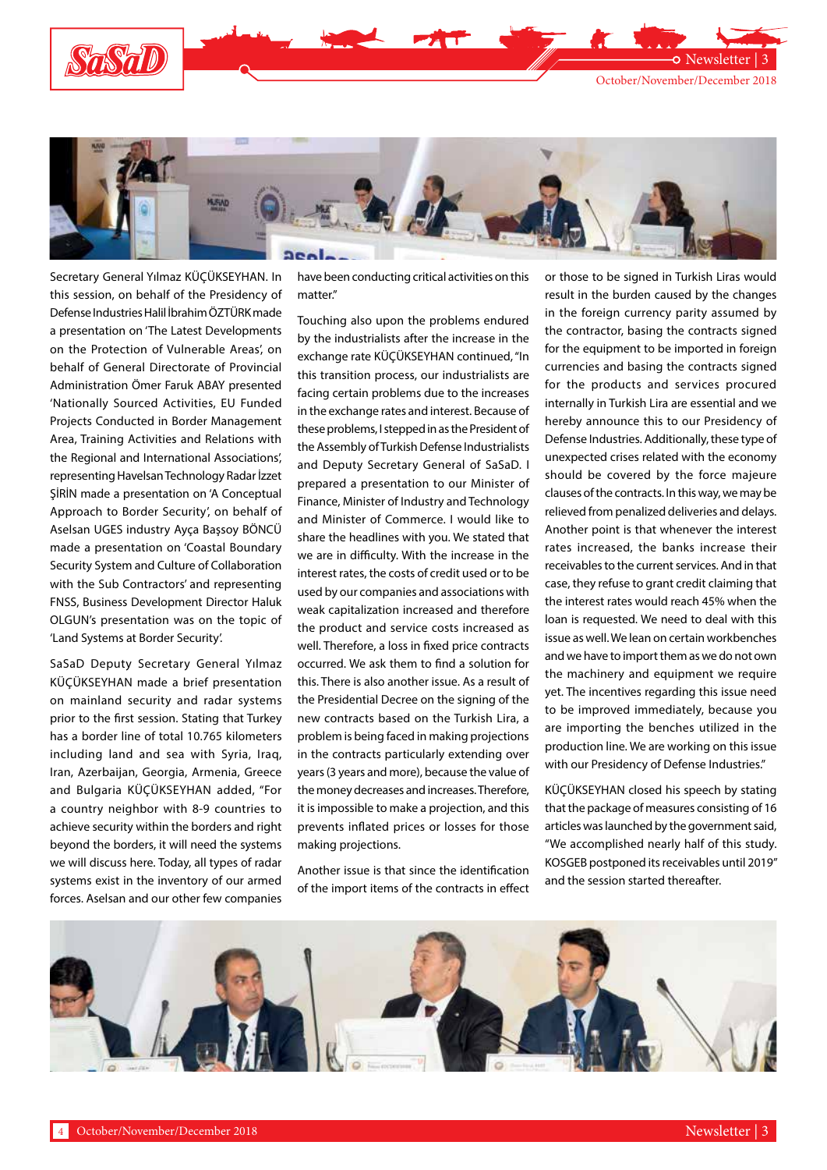





Secretary General Yılmaz KÜÇÜKSEYHAN. In this session, on behalf of the Presidency of Defense Industries Halil İbrahim ÖZTÜRK made a presentation on 'The Latest Developments on the Protection of Vulnerable Areas', on behalf of General Directorate of Provincial Administration Ömer Faruk ABAY presented 'Nationally Sourced Activities, EU Funded Projects Conducted in Border Management Area, Training Activities and Relations with the Regional and International Associations', representing Havelsan Technology Radar İzzet ŞİRİN made a presentation on 'A Conceptual Approach to Border Security', on behalf of Aselsan UGES industry Ayça Başsoy BÖNCÜ made a presentation on 'Coastal Boundary Security System and Culture of Collaboration with the Sub Contractors' and representing FNSS, Business Development Director Haluk OLGUN's presentation was on the topic of 'Land Systems at Border Security'.

SaSaD Deputy Secretary General Yılmaz KÜÇÜKSEYHAN made a brief presentation on mainland security and radar systems prior to the first session. Stating that Turkey has a border line of total 10.765 kilometers including land and sea with Syria, Iraq, Iran, Azerbaijan, Georgia, Armenia, Greece and Bulgaria KÜÇÜKSEYHAN added, "For a country neighbor with 8-9 countries to achieve security within the borders and right beyond the borders, it will need the systems we will discuss here. Today, all types of radar systems exist in the inventory of our armed forces. Aselsan and our other few companies

have been conducting critical activities on this matter."

Touching also upon the problems endured by the industrialists after the increase in the exchange rate KÜÇÜKSEYHAN continued, "In this transition process, our industrialists are facing certain problems due to the increases in the exchange rates and interest. Because of these problems, I stepped in as the President of the Assembly of Turkish Defense Industrialists and Deputy Secretary General of SaSaD. I prepared a presentation to our Minister of Finance, Minister of Industry and Technology and Minister of Commerce. I would like to share the headlines with you. We stated that we are in difficulty. With the increase in the interest rates, the costs of credit used or to be used by our companies and associations with weak capitalization increased and therefore the product and service costs increased as well. Therefore, a loss in fixed price contracts occurred. We ask them to find a solution for this. There is also another issue. As a result of the Presidential Decree on the signing of the new contracts based on the Turkish Lira, a problem is being faced in making projections in the contracts particularly extending over years (3 years and more), because the value of the money decreases and increases. Therefore, it is impossible to make a projection, and this prevents inflated prices or losses for those making projections.

Another issue is that since the identification of the import items of the contracts in effect or those to be signed in Turkish Liras would result in the burden caused by the changes in the foreign currency parity assumed by the contractor, basing the contracts signed for the equipment to be imported in foreign currencies and basing the contracts signed for the products and services procured internally in Turkish Lira are essential and we hereby announce this to our Presidency of Defense Industries. Additionally, these type of unexpected crises related with the economy should be covered by the force majeure clauses of the contracts. In this way, we may be relieved from penalized deliveries and delays. Another point is that whenever the interest rates increased, the banks increase their receivables to the current services. And in that case, they refuse to grant credit claiming that the interest rates would reach 45% when the loan is requested. We need to deal with this issue as well. We lean on certain workbenches and we have to import them as we do not own the machinery and equipment we require yet. The incentives regarding this issue need to be improved immediately, because you are importing the benches utilized in the production line. We are working on this issue with our Presidency of Defense Industries."

KÜÇÜKSEYHAN closed his speech by stating that the package of measures consisting of 16 articles was launched by the government said, "We accomplished nearly half of this study. KOSGEB postponed its receivables until 2019" and the session started thereafter.

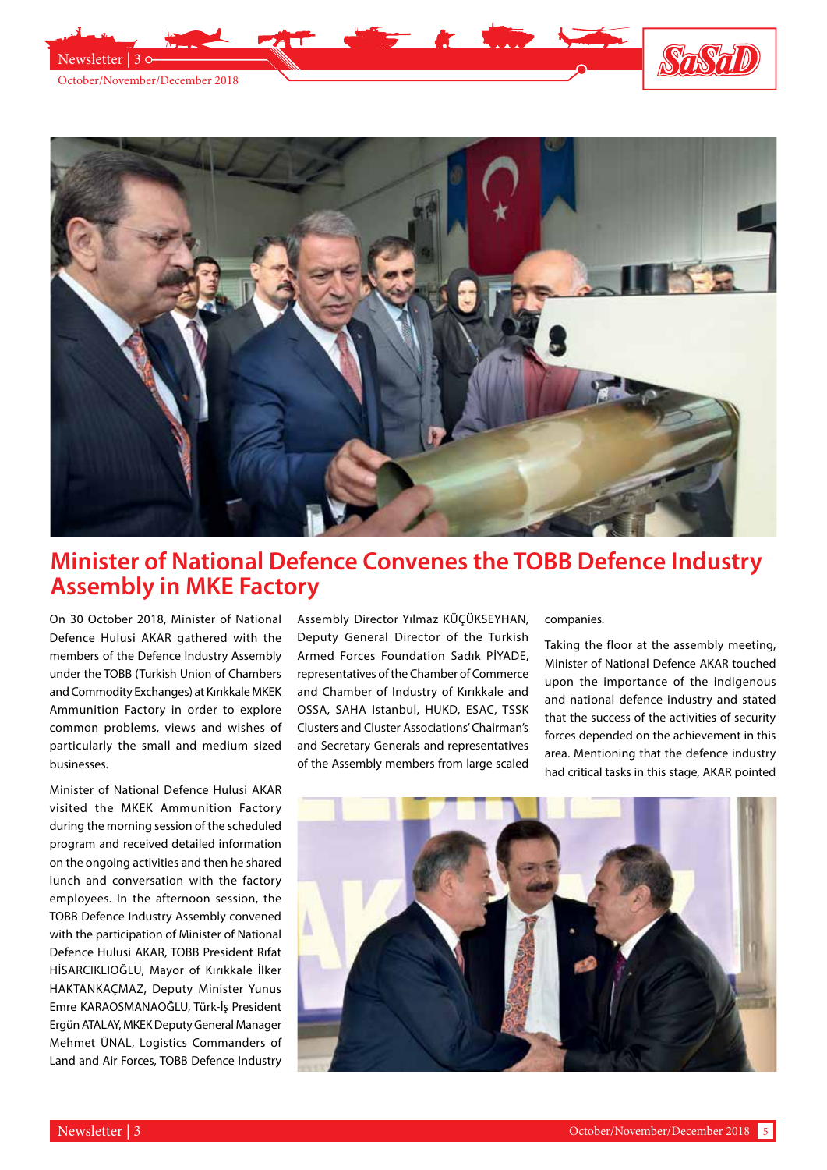



# **Minister of National Defence Convenes the TOBB Defence Industry Assembly in MKE Factory**

On 30 October 2018, Minister of National Defence Hulusi AKAR gathered with the members of the Defence Industry Assembly under the TOBB (Turkish Union of Chambers and Commodity Exchanges) at Kırıkkale MKEK Ammunition Factory in order to explore common problems, views and wishes of particularly the small and medium sized businesses.

Minister of National Defence Hulusi AKAR visited the MKEK Ammunition Factory during the morning session of the scheduled program and received detailed information on the ongoing activities and then he shared lunch and conversation with the factory employees. In the afternoon session, the TOBB Defence Industry Assembly convened with the participation of Minister of National Defence Hulusi AKAR, TOBB President Rıfat HİSARCIKLIOĞLU, Mayor of Kırıkkale İlker HAKTANKAÇMAZ, Deputy Minister Yunus Emre KARAOSMANAOĞLU, Türk-İş President Ergün ATALAY, MKEK Deputy General Manager Mehmet ÜNAL, Logistics Commanders of Land and Air Forces, TOBB Defence Industry

Assembly Director Yılmaz KÜÇÜKSEYHAN, Deputy General Director of the Turkish Armed Forces Foundation Sadık PİYADE, representatives of the Chamber of Commerce and Chamber of Industry of Kırıkkale and OSSA, SAHA Istanbul, HUKD, ESAC, TSSK Clusters and Cluster Associations' Chairman's and Secretary Generals and representatives of the Assembly members from large scaled

#### companies.

Taking the floor at the assembly meeting, Minister of National Defence AKAR touched upon the importance of the indigenous and national defence industry and stated that the success of the activities of security forces depended on the achievement in this area. Mentioning that the defence industry had critical tasks in this stage, AKAR pointed

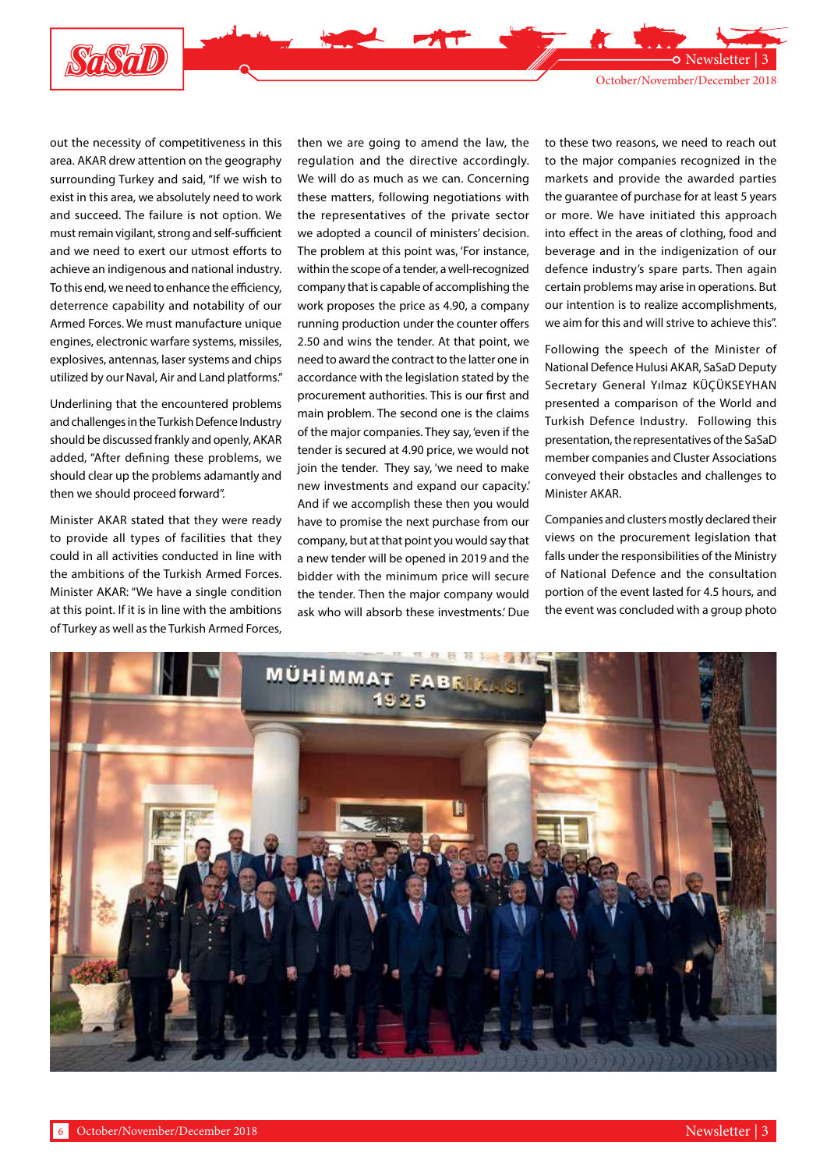

Newsletter | 3

out the necessity of competitiveness in this area. AKAR drew attention on the geography surrounding Turkey and said, "If we wish to exist in this area, we absolutely need to work and succeed. The failure is not option. We must remain vigilant, strong and self-sufficient and we need to exert our utmost efforts to achieve an indigenous and national industry. To this end, we need to enhance the efficiency, deterrence capability and notability of our Armed Forces. We must manufacture unique engines, electronic warfare systems, missiles, explosives, antennas, laser systems and chips utilized by our Naval, Air and Land platforms."

Underlining that the encountered problems and challenges in the Turkish Defence Industry should be discussed frankly and openly, AKAR added, "After defining these problems, we should clear up the problems adamantly and then we should proceed forward".

Minister AKAR stated that they were ready to provide all types of facilities that they could in all activities conducted in line with the ambitions of the Turkish Armed Forces. Minister AKAR: "We have a single condition at this point. If it is in line with the ambitions of Turkey as well as the Turkish Armed Forces,

then we are going to amend the law, the regulation and the directive accordingly. We will do as much as we can. Concerning these matters, following negotiations with the representatives of the private sector we adopted a council of ministers' decision. The problem at this point was, 'For instance, within the scope of a tender, a well-recognized company that is capable of accomplishing the work proposes the price as 4.90, a company running production under the counter offers 2.50 and wins the tender. At that point, we need to award the contract to the latter one in accordance with the legislation stated by the procurement authorities. This is our first and main problem. The second one is the claims of the major companies. They say, 'even if the tender is secured at 4.90 price, we would not join the tender. They say, 'we need to make new investments and expand our capacity.' And if we accomplish these then you would have to promise the next purchase from our company, but at that point you would say that a new tender will be opened in 2019 and the bidder with the minimum price will secure the tender. Then the major company would ask who will absorb these investments.' Due to these two reasons, we need to reach out to the major companies recognized in the markets and provide the awarded parties the guarantee of purchase for at least 5 years or more. We have initiated this approach into effect in the areas of clothing, food and beverage and in the indigenization of our defence industry's spare parts. Then again certain problems may arise in operations. But our intention is to realize accomplishments, we aim for this and will strive to achieve this".

Following the speech of the Minister of National Defence Hulusi AKAR, SaSaD Deputy Secretary General Yılmaz KÜÇÜKSEYHAN presented a comparison of the World and Turkish Defence Industry. Following this presentation, the representatives of the SaSaD member companies and Cluster Associations conveyed their obstacles and challenges to Minister AKAR.

Companies and clusters mostly declared their views on the procurement legislation that falls under the responsibilities of the Ministry of National Defence and the consultation portion of the event lasted for 4.5 hours, and the event was concluded with a group photo

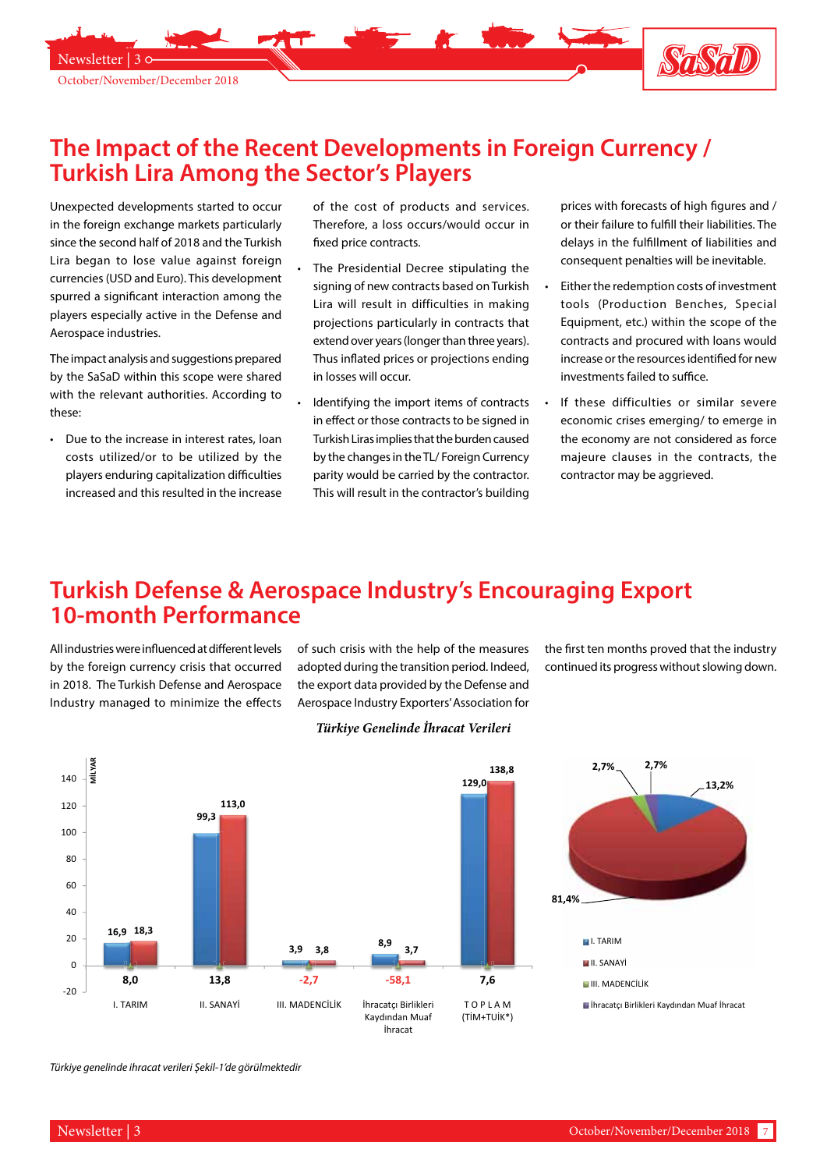

## **The Impact of the Recent Developments in Foreign Currency / Turkish Lira Among the Sector's Players**

Unexpected developments started to occur in the foreign exchange markets particularly since the second half of 2018 and the Turkish Lira began to lose value against foreign currencies (USD and Euro). This development spurred a significant interaction among the players especially active in the Defense and Aerospace industries.

The impact analysis and suggestions prepared by the SaSaD within this scope were shared with the relevant authorities. According to these:

• Due to the increase in interest rates, loan costs utilized/or to be utilized by the players enduring capitalization difficulties increased and this resulted in the increase of the cost of products and services. Therefore, a loss occurs/would occur in fixed price contracts.

- The Presidential Decree stipulating the signing of new contracts based on Turkish Lira will result in difficulties in making projections particularly in contracts that extend over years (longer than three years). Thus inflated prices or projections ending in losses will occur.
- Identifying the import items of contracts in effect or those contracts to be signed in Turkish Liras implies that the burden caused by the changes in the TL/ Foreign Currency parity would be carried by the contractor. This will result in the contractor's building

prices with forecasts of high figures and / or their failure to fulfill their liabilities. The delays in the fulfillment of liabilities and consequent penalties will be inevitable.

- Either the redemption costs of investment tools (Production Benches, Special Equipment, etc.) within the scope of the contracts and procured with loans would increase or the resources identified for new investments failed to suffice.
- If these difficulties or similar severe economic crises emerging/ to emerge in the economy are not considered as force majeure clauses in the contracts, the contractor may be aggrieved.

## **Turkish Defense & Aerospace Industry's Encouraging Export 10-month Performance**

All industries were influenced at different levels by the foreign currency crisis that occurred in 2018. The Turkish Defense and Aerospace Industry managed to minimize the effects of such crisis with the help of the measures adopted during the transition period. Indeed, the export data provided by the Defense and Aerospace Industry Exporters' Association for

### **TÜRKİYE GENELİNDE İHRACAT VERİLERİ** *Türkiye Genelinde İhracat Verileri*

the first ten months proved that the industry continued its progress without slowing down.



*Türkiye genelinde ihracat verileri Şekil-1'de görülmektedir*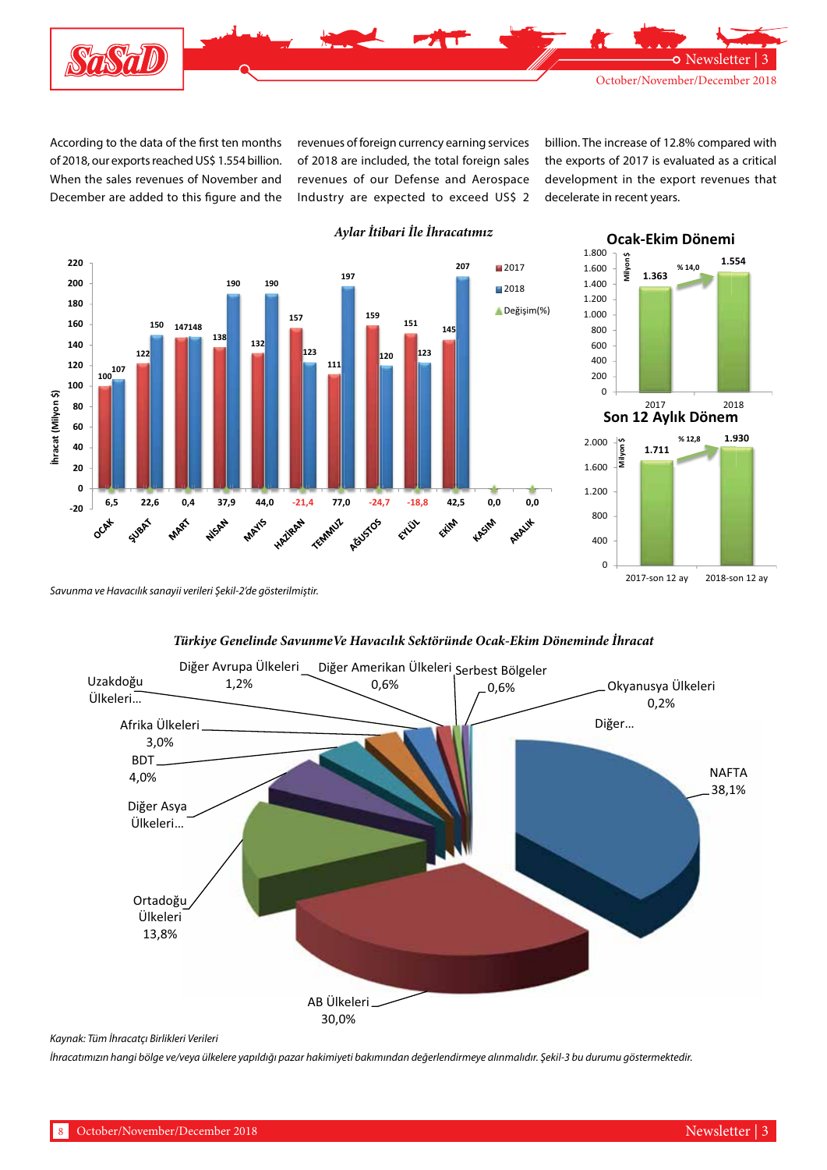

According to the data of the first ten months of 2018, our exports reached US\$ 1.554 billion. When the sales revenues of November and December are added to this figure and the revenues of foreign currency earning services of 2018 are included, the total foreign sales revenues of our Defense and Aerospace Industry are expected to exceed US\$ 2 billion. The increase of 12.8% compared with the exports of 2017 is evaluated as a critical development in the export revenues that decelerate in recent years.

**Ocak-Ekim Dönemi**



### *Aylar İtibari İle İhracatımız*



*Savunma ve Havacılık sanayii verileri Şekil-2'de gösterilmiştir.*



*Türkiye Genelinde SavunmeVe Havacılık Sektöründe Ocak-Ekim Döneminde İhracat*

*Kaynak: Tüm İhracatçı Birlikleri Verileri*

*İhracatımızın hangi bölge ve/veya ülkelere yapıldığı pazar hakimiyeti bakımından değerlendirmeye alınmalıdır. Şekil-3 bu durumu göstermektedir.*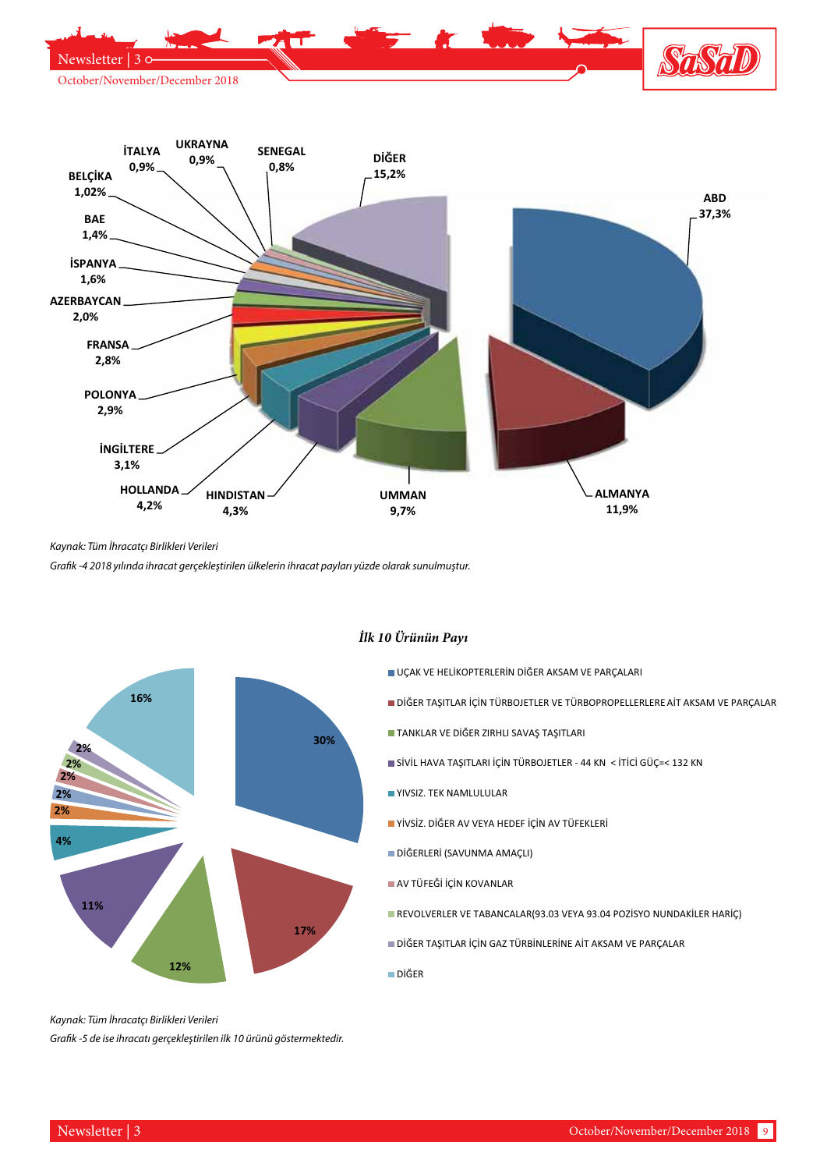



*Kaynak: Tüm İhracatçı Birlikleri Verileri*

*Grafik -4 2018 yılında ihracat gerçekleştirilen ülkelerin ihracat payları yüzde olarak sunulmuştur.*



### *İlk 10 Ürünün Payı*

- UÇAK VE HELİKOPTERLERİN DİĞER AKSAM VE PARÇALARI
- DİĞER TAŞITLAR İÇİN TÜRBOJETLER VE TÜRBOPROPELLERLERE AİT AKSAM VE PARÇALAR
- TANKLAR VE DİĞER ZIRHLI SAVAŞ TAŞITLARI
- SİVİL HAVA TAŞITLARI İÇİN TÜRBOJETLER 44 KN < İTİCİ GÜÇ=< 132 KN
- YIVSIZ. TEK NAMLULULAR
- YİVSİZ. DİĞER AV VEYA HEDEF İÇİN AV TÜFEKLERİ
- DİĞERLERİ (SAVUNMA AMAÇLI)
- AV TÜFEĞİ İÇİN KOVANLAR
- REVOLVERLER VE TABANCALAR(93.03 VEYA 93.04 POZİSYO NUNDAKİLER HARİÇ)
- DİĞER TAŞITLAR İÇİN GAZ TÜRBİNLERİNE AİT AKSAM VE PARÇALAR
- DİĞER

*Kaynak: Tüm İhracatçı Birlikleri Verileri*

*Grafik -5 de ise ihracatı gerçekleştirilen ilk 10 ürünü göstermektedir.*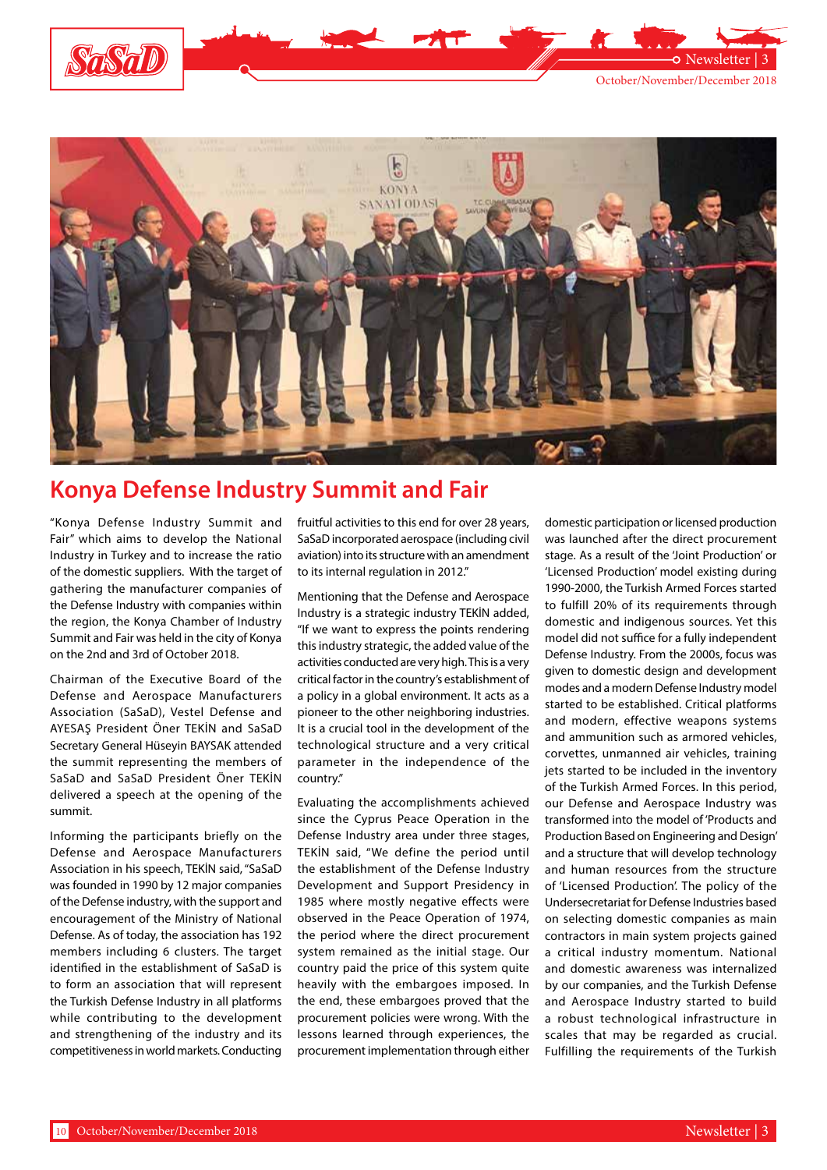

Newsletter



# **Konya Defense Industry Summit and Fair**

"Konya Defense Industry Summit and Fair" which aims to develop the National Industry in Turkey and to increase the ratio of the domestic suppliers. With the target of gathering the manufacturer companies of the Defense Industry with companies within the region, the Konya Chamber of Industry Summit and Fair was held in the city of Konya on the 2nd and 3rd of October 2018.

Chairman of the Executive Board of the Defense and Aerospace Manufacturers Association (SaSaD), Vestel Defense and AYESAŞ President Öner TEKİN and SaSaD Secretary General Hüseyin BAYSAK attended the summit representing the members of SaSaD and SaSaD President Öner TEKİN delivered a speech at the opening of the summit.

Informing the participants briefly on the Defense and Aerospace Manufacturers Association in his speech, TEKİN said, "SaSaD was founded in 1990 by 12 major companies of the Defense industry, with the support and encouragement of the Ministry of National Defense. As of today, the association has 192 members including 6 clusters. The target identified in the establishment of SaSaD is to form an association that will represent the Turkish Defense Industry in all platforms while contributing to the development and strengthening of the industry and its competitiveness in world markets. Conducting fruitful activities to this end for over 28 years, SaSaD incorporated aerospace (including civil aviation) into its structure with an amendment to its internal regulation in 2012."

Mentioning that the Defense and Aerospace Industry is a strategic industry TEKİN added, "If we want to express the points rendering this industry strategic, the added value of the activities conducted are very high. This is a very critical factor in the country's establishment of a policy in a global environment. It acts as a pioneer to the other neighboring industries. It is a crucial tool in the development of the technological structure and a very critical parameter in the independence of the country."

Evaluating the accomplishments achieved since the Cyprus Peace Operation in the Defense Industry area under three stages, TEKİN said, "We define the period until the establishment of the Defense Industry Development and Support Presidency in 1985 where mostly negative effects were observed in the Peace Operation of 1974, the period where the direct procurement system remained as the initial stage. Our country paid the price of this system quite heavily with the embargoes imposed. In the end, these embargoes proved that the procurement policies were wrong. With the lessons learned through experiences, the procurement implementation through either domestic participation or licensed production was launched after the direct procurement stage. As a result of the 'Joint Production' or 'Licensed Production' model existing during 1990-2000, the Turkish Armed Forces started to fulfill 20% of its requirements through domestic and indigenous sources. Yet this model did not suffice for a fully independent Defense Industry. From the 2000s, focus was given to domestic design and development modes and a modern Defense Industry model started to be established. Critical platforms and modern, effective weapons systems and ammunition such as armored vehicles, corvettes, unmanned air vehicles, training jets started to be included in the inventory of the Turkish Armed Forces. In this period, our Defense and Aerospace Industry was transformed into the model of 'Products and Production Based on Engineering and Design' and a structure that will develop technology and human resources from the structure of 'Licensed Production'. The policy of the Undersecretariat for Defense Industries based on selecting domestic companies as main contractors in main system projects gained a critical industry momentum. National and domestic awareness was internalized by our companies, and the Turkish Defense and Aerospace Industry started to build a robust technological infrastructure in scales that may be regarded as crucial. Fulfilling the requirements of the Turkish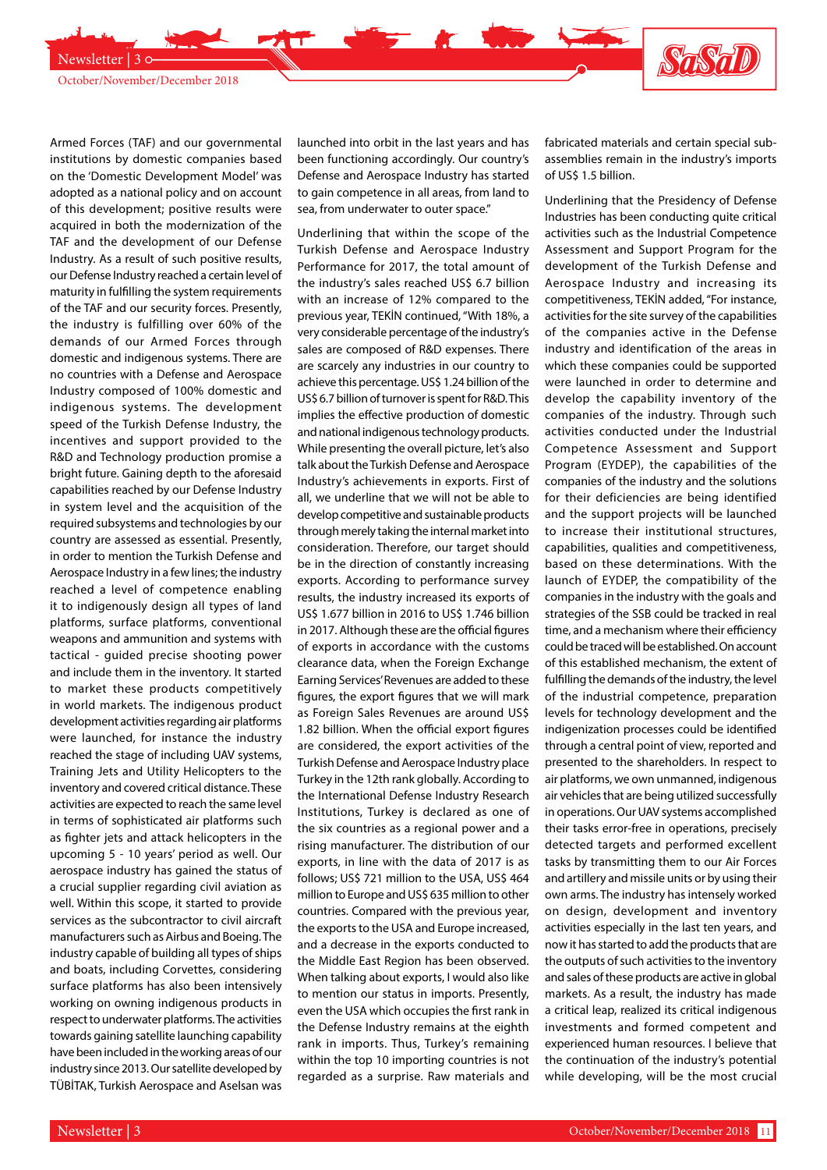

Newsletter | 30-

Armed Forces (TAF) and our governmental institutions by domestic companies based on the 'Domestic Development Model' was adopted as a national policy and on account of this development; positive results were acquired in both the modernization of the TAF and the development of our Defense Industry. As a result of such positive results, our Defense Industry reached a certain level of maturity in fulfilling the system requirements of the TAF and our security forces. Presently, the industry is fulfilling over 60% of the demands of our Armed Forces through domestic and indigenous systems. There are no countries with a Defense and Aerospace Industry composed of 100% domestic and indigenous systems. The development speed of the Turkish Defense Industry, the incentives and support provided to the R&D and Technology production promise a bright future. Gaining depth to the aforesaid capabilities reached by our Defense Industry in system level and the acquisition of the required subsystems and technologies by our country are assessed as essential. Presently, in order to mention the Turkish Defense and Aerospace Industry in a few lines; the industry reached a level of competence enabling it to indigenously design all types of land platforms, surface platforms, conventional weapons and ammunition and systems with tactical - guided precise shooting power and include them in the inventory. It started to market these products competitively in world markets. The indigenous product development activities regarding air platforms were launched, for instance the industry reached the stage of including UAV systems, Training Jets and Utility Helicopters to the inventory and covered critical distance. These activities are expected to reach the same level in terms of sophisticated air platforms such as fighter jets and attack helicopters in the upcoming 5 - 10 years' period as well. Our aerospace industry has gained the status of a crucial supplier regarding civil aviation as well. Within this scope, it started to provide services as the subcontractor to civil aircraft manufacturers such as Airbus and Boeing. The industry capable of building all types of ships and boats, including Corvettes, considering surface platforms has also been intensively working on owning indigenous products in respect to underwater platforms. The activities towards gaining satellite launching capability have been included in the working areas of our industry since 2013. Our satellite developed by TÜBİTAK, Turkish Aerospace and Aselsan was launched into orbit in the last years and has been functioning accordingly. Our country's Defense and Aerospace Industry has started to gain competence in all areas, from land to sea, from underwater to outer space."

**The Second Second Second Second Second Second Second Second Second Second Second Second Second Second Second Second** 

Underlining that within the scope of the Turkish Defense and Aerospace Industry Performance for 2017, the total amount of the industry's sales reached US\$ 6.7 billion with an increase of 12% compared to the previous year, TEKİN continued, "With 18%, a very considerable percentage of the industry's sales are composed of R&D expenses. There are scarcely any industries in our country to achieve this percentage. US\$ 1.24 billion of the US\$ 6.7 billion of turnover is spent for R&D. This implies the effective production of domestic and national indigenous technology products. While presenting the overall picture, let's also talk about the Turkish Defense and Aerospace Industry's achievements in exports. First of all, we underline that we will not be able to develop competitive and sustainable products through merely taking the internal market into consideration. Therefore, our target should be in the direction of constantly increasing exports. According to performance survey results, the industry increased its exports of US\$ 1.677 billion in 2016 to US\$ 1.746 billion in 2017. Although these are the official figures of exports in accordance with the customs clearance data, when the Foreign Exchange Earning Services' Revenues are added to these figures, the export figures that we will mark as Foreign Sales Revenues are around US\$ 1.82 billion. When the official export figures are considered, the export activities of the Turkish Defense and Aerospace Industry place Turkey in the 12th rank globally. According to the International Defense Industry Research Institutions, Turkey is declared as one of the six countries as a regional power and a rising manufacturer. The distribution of our exports, in line with the data of 2017 is as follows; US\$ 721 million to the USA, US\$ 464 million to Europe and US\$ 635 million to other countries. Compared with the previous year, the exports to the USA and Europe increased, and a decrease in the exports conducted to the Middle East Region has been observed. When talking about exports, I would also like to mention our status in imports. Presently, even the USA which occupies the first rank in the Defense Industry remains at the eighth rank in imports. Thus, Turkey's remaining within the top 10 importing countries is not regarded as a surprise. Raw materials and

fabricated materials and certain special subassemblies remain in the industry's imports of US\$ 1.5 billion.

STASTID

Underlining that the Presidency of Defense Industries has been conducting quite critical activities such as the Industrial Competence Assessment and Support Program for the development of the Turkish Defense and Aerospace Industry and increasing its competitiveness, TEKİN added, "For instance, activities for the site survey of the capabilities of the companies active in the Defense industry and identification of the areas in which these companies could be supported were launched in order to determine and develop the capability inventory of the companies of the industry. Through such activities conducted under the Industrial Competence Assessment and Support Program (EYDEP), the capabilities of the companies of the industry and the solutions for their deficiencies are being identified and the support projects will be launched to increase their institutional structures, capabilities, qualities and competitiveness, based on these determinations. With the launch of EYDEP, the compatibility of the companies in the industry with the goals and strategies of the SSB could be tracked in real time, and a mechanism where their efficiency could be traced will be established. On account of this established mechanism, the extent of fulfilling the demands of the industry, the level of the industrial competence, preparation levels for technology development and the indigenization processes could be identified through a central point of view, reported and presented to the shareholders. In respect to air platforms, we own unmanned, indigenous air vehicles that are being utilized successfully in operations. Our UAV systems accomplished their tasks error-free in operations, precisely detected targets and performed excellent tasks by transmitting them to our Air Forces and artillery and missile units or by using their own arms. The industry has intensely worked on design, development and inventory activities especially in the last ten years, and now it has started to add the products that are the outputs of such activities to the inventory and sales of these products are active in global markets. As a result, the industry has made a critical leap, realized its critical indigenous investments and formed competent and experienced human resources. I believe that the continuation of the industry's potential while developing, will be the most crucial